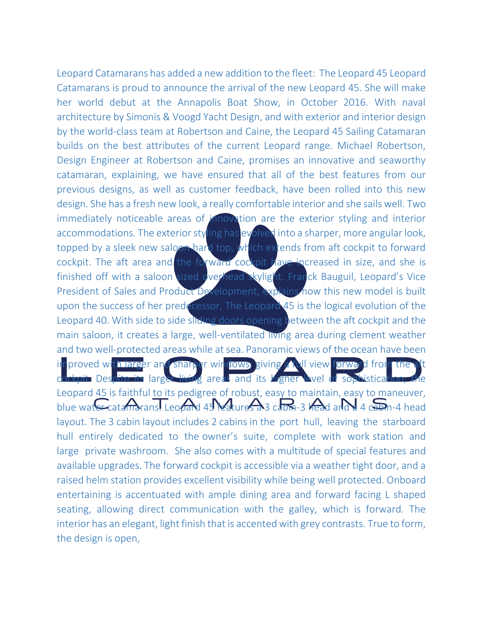Leopard Catamarans has added a new addition to the fleet: The Leopard 45 Leopard Catamarans is proud to announce the arrival of the new Leopard 45. She will make her world debut at the Annapolis Boat Show, in October 2016. With naval architecture by Simonis & Voogd Yacht Design, and with exterior and interior design by the world-class team at Robertson and Caine, the Leopard 45 Sailing Catamaran builds on the best attributes of the current Leopard range. Michael Robertson, Design Engineer at Robertson and Caine, promises an innovative and seaworthy catamaran, explaining, we have ensured that all of the best features from our previous designs, as well as customer feedback, have been rolled into this new design. She has a fresh new look, a really comfortable interior and she sails well. Two immediately noticeable areas of innovation are the exterior styling and interior accommodations. The exterior styling has evolved into a sharper, more angular look, topped by a sleek new saloon hard top, which extends from aft cockpit to forward cockpit. The aft area and the forward cockpit have increased in size, and she is finished off with a saloon sized overhead skylight. Franck Bauguil, Leopard's Vice President of Sales and Product Development, explains how this new model is built upon the success of her predecessor, The Leopard 45 is the logical evolution of the Leopard 40. With side to side sliding doors opening between the aft cockpit and the main saloon, it creates a large, well-ventilated living area during clement weather and two well-protected areas while at sea. Panoramic views of the ocean have been improved with larger and sharper windows, giving a full view forward from the cockpit. Despite its larger living areas and its higher level of sophistication Leopard 45 is faithful to its pedigree of robust, easy to maintain, easy to maneuver, blue water catamarans. Leopard 45 Matures a 3 cabin-3 head and  $\frac{4}{3}$   $\frac{6}{3}$ m-4 head layout. The 3 cabin layout includes 2 cabins in the port hull, leaving the starboard hull entirely dedicated to the owner's suite, complete with work station and large private washroom. She also comes with a multitude of special features and available upgrades. The forward cockpit is accessible via a weather tight door, and a raised helm station provides excellent visibility while being well protected. Onboard entertaining is accentuated with ample dining area and forward facing L shaped seating, allowing direct communication with the galley, which is forward. The interior has an elegant, light finish that is accented with grey contrasts. True to form, the design is open,